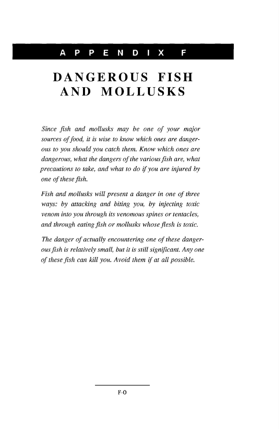## **DANGEROUS FISH AND MOLLUSKS**

*Since fish and mollusks may be one of your major sources of food, it is wise to know which ones are dangerous to you should you catch them. Know which ones are dangerous, what the dangers of the various fish are, what precautions to take, and what to do if you are injured by one of these fish.*

*Fish and mollusks will present a danger in one of three ways: by attacking and biting you, by injecting toxic venom into you through its venomous spines or tentacles, and through eating fish or mollusks whose flesh is toxic.*

*The danger of actually encountering one of these dangerousfish is relatively small, but it is still significant. Anyone of these fish can kill you. A void them if at all possible.*